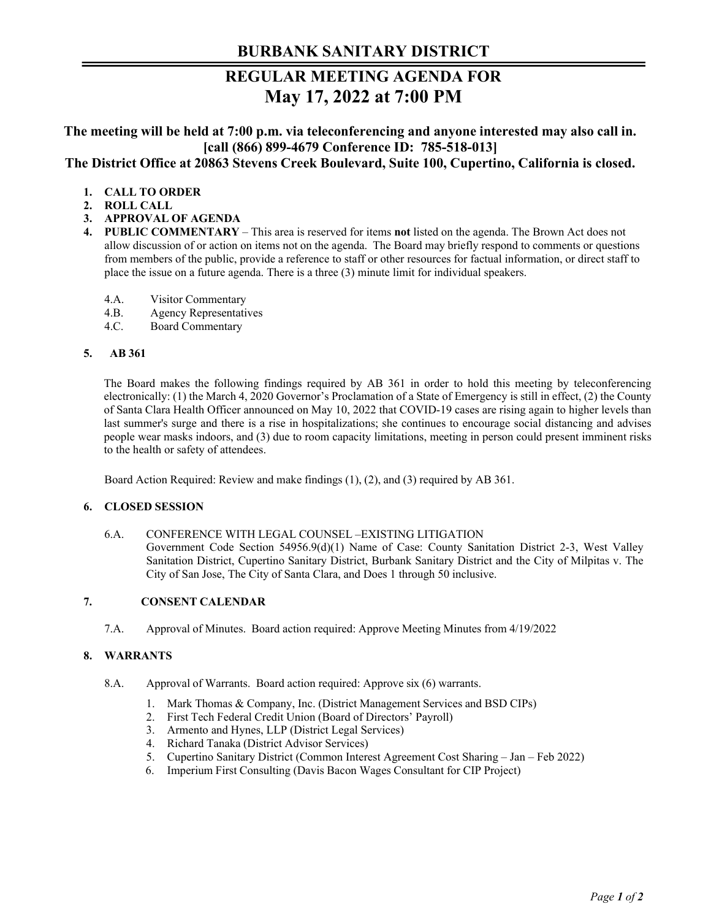# **REGULAR MEETING AGENDA FOR May 17, 2022 at 7:00 PM**

**The meeting will be held at 7:00 p.m. via teleconferencing and anyone interested may also call in. [call (866) 899-4679 Conference ID: 785-518-013] The District Office at 20863 Stevens Creek Boulevard, Suite 100, Cupertino, California is closed.** 

# **1. CALL TO ORDER**

- **2. ROLL CALL**
- **3. APPROVAL OF AGENDA**
- **4. PUBLIC COMMENTARY**  This area is reserved for items **not** listed on the agenda. The Brown Act does not allow discussion of or action on items not on the agenda. The Board may briefly respond to comments or questions from members of the public, provide a reference to staff or other resources for factual information, or direct staff to place the issue on a future agenda. There is a three (3) minute limit for individual speakers.
	- 4.A. Visitor Commentary
	- 4.B. Agency Representatives
	- 4.C. Board Commentary

### **5. AB 361**

The Board makes the following findings required by AB 361 in order to hold this meeting by teleconferencing electronically: (1) the March 4, 2020 Governor's Proclamation of a State of Emergency is still in effect, (2) the County of Santa Clara Health Officer announced on May 10, 2022 that COVID-19 cases are rising again to higher levels than last summer's surge and there is a rise in hospitalizations; she continues to encourage social distancing and advises people wear masks indoors, and (3) due to room capacity limitations, meeting in person could present imminent risks to the health or safety of attendees.

Board Action Required: Review and make findings (1), (2), and (3) required by AB 361.

### **6. CLOSED SESSION**

#### 6.A. CONFERENCE WITH LEGAL COUNSEL –EXISTING LITIGATION

Government Code Section 54956.9(d)(1) Name of Case: County Sanitation District 2-3, West Valley Sanitation District, Cupertino Sanitary District, Burbank Sanitary District and the City of Milpitas v. The City of San Jose, The City of Santa Clara, and Does 1 through 50 inclusive.

# **7. CONSENT CALENDAR**

7.A. Approval of Minutes. Board action required: Approve Meeting Minutes from 4/19/2022

## **8. WARRANTS**

- 8.A. Approval of Warrants. Board action required: Approve six (6) warrants.
	- 1. Mark Thomas & Company, Inc. (District Management Services and BSD CIPs)
	- 2. First Tech Federal Credit Union (Board of Directors' Payroll)
	- 3. Armento and Hynes, LLP (District Legal Services)
	- 4. Richard Tanaka (District Advisor Services)
	- 5. Cupertino Sanitary District (Common Interest Agreement Cost Sharing Jan Feb 2022)
	- 6. Imperium First Consulting (Davis Bacon Wages Consultant for CIP Project)